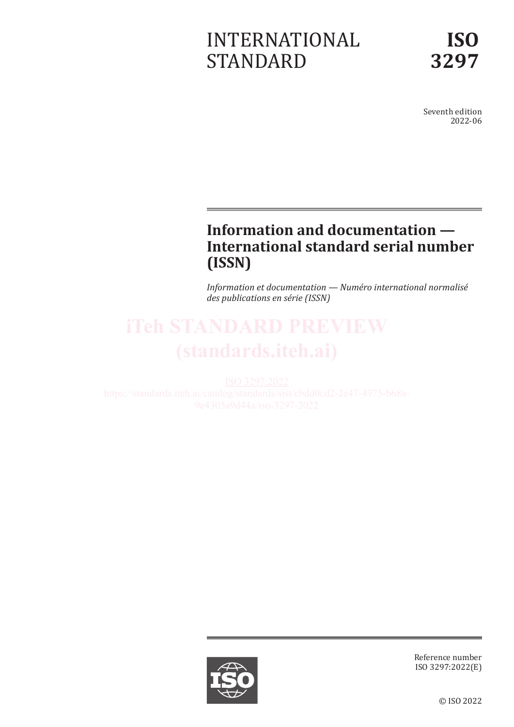# INTERNATIONAL STANDARD

**ISO 3297**

Seventh edition 2022-06

# **Information and documentation — International standard serial number (ISSN)**

*Information et documentation — Numéro international normalisé des publications en série (ISSN)*

# Teh STANDARD PREVIEW<br>
(standards.iteh.ai)<br>
So 3297.2022<br>
(Standards.iteh.ai)<br>
(Standards.iteh.ai)<br>
(Standards.iteh.ai)<br>
(Standards.iteh.ai)<br>
(Standards.iteh.ai)<br>
(Standards.iteh.ai)<br>
(Standards.iteh.ai)<br>
(Standards.iteh.ai



Reference number ISO 3297:2022(E)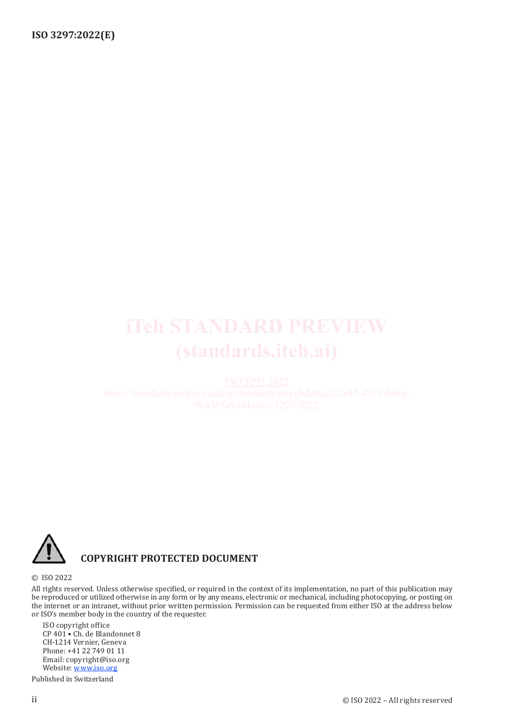# Teh STANDARD PREVIEW<br>
(standards.iteh.aicatalog/standards/sizetchdd0ed2-2e47-4975-b68a-<br>
(standards.iteh.aicatalog/standards/sizetchdd0ed2-2e47-4975-b68a-<br>
94305a9d44a/iso-297-2022<br> **HT PROTECTED DOCUMENT**<br>
HT PROTECTED DO



### **COPYRIGHT PROTECTED DOCUMENT**

### © ISO 2022

All rights reserved. Unless otherwise specified, or required in the context of its implementation, no part of this publication may be reproduced or utilized otherwise in any form or by any means, electronic or mechanical, including photocopying, or posting on the internet or an intranet, without prior written permission. Permission can be requested from either ISO at the address below or ISO's member body in the country of the requester.

ISO copyright office CP 401 • Ch. de Blandonnet 8 CH-1214 Vernier, Geneva Phone: +41 22 749 01 11 Email: copyright@iso.org Website: [www.iso.org](https://www.iso.org)

Published in Switzerland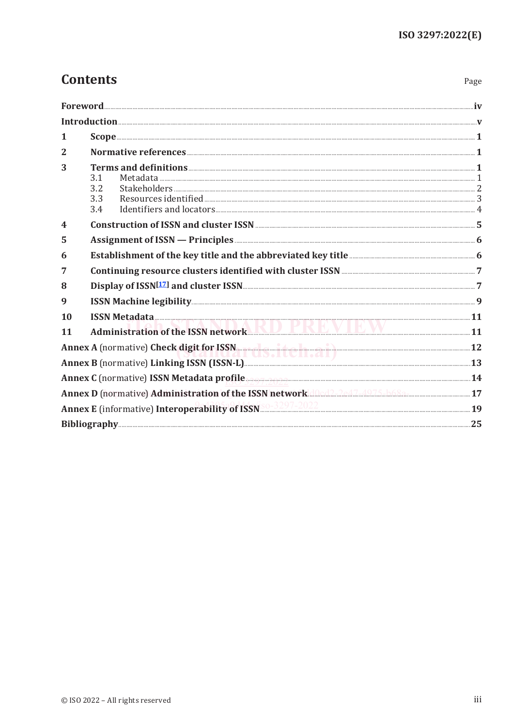Page

# **Contents**

| 1              |                                                                                                                                                                                                                                     |  |  |  |  |  |  |
|----------------|-------------------------------------------------------------------------------------------------------------------------------------------------------------------------------------------------------------------------------------|--|--|--|--|--|--|
| $\overline{2}$ | Normative references <b>contracts</b> and the set of the set of the set of the set of the set of the set of the set of the set of the set of the set of the set of the set of the set of the set of the set of the set of the set o |  |  |  |  |  |  |
| 3              | 3.1<br>3.2<br>3.3<br>3.4                                                                                                                                                                                                            |  |  |  |  |  |  |
| 4              |                                                                                                                                                                                                                                     |  |  |  |  |  |  |
| 5              | Assignment of ISSN — Principles <b>Examples</b> 2004 1995 2014 1997 6                                                                                                                                                               |  |  |  |  |  |  |
| 6              | Establishment of the key title and the abbreviated key title <b>Establishment</b> of the key title <b>6</b>                                                                                                                         |  |  |  |  |  |  |
| 7              |                                                                                                                                                                                                                                     |  |  |  |  |  |  |
| 8              | Display of ISSN <sup>[17]</sup> and cluster ISSN <b>Exam and Example 2018</b> 7                                                                                                                                                     |  |  |  |  |  |  |
| 9              |                                                                                                                                                                                                                                     |  |  |  |  |  |  |
| 10             |                                                                                                                                                                                                                                     |  |  |  |  |  |  |
| 11             | Administration of the ISSN network 11 and 200 ministration of the ISSN network                                                                                                                                                      |  |  |  |  |  |  |
|                |                                                                                                                                                                                                                                     |  |  |  |  |  |  |
|                | US.IUCH.AH<br>Annex B (normative) Linking ISSN (ISSN-L) <b>Manual Community Contract Community</b> 13                                                                                                                               |  |  |  |  |  |  |
|                | Annex C (normative) ISSN Metadata profile                                                                                                                                                                                           |  |  |  |  |  |  |
|                | Annex D (normative) Administration of the ISSN network dood2-2e47-4975-b68a-                                                                                                                                                        |  |  |  |  |  |  |
|                | Annex E (informative) Interoperability of ISSN 80-3297-2022                                                                                                                                                                         |  |  |  |  |  |  |
|                | Bibliography 25                                                                                                                                                                                                                     |  |  |  |  |  |  |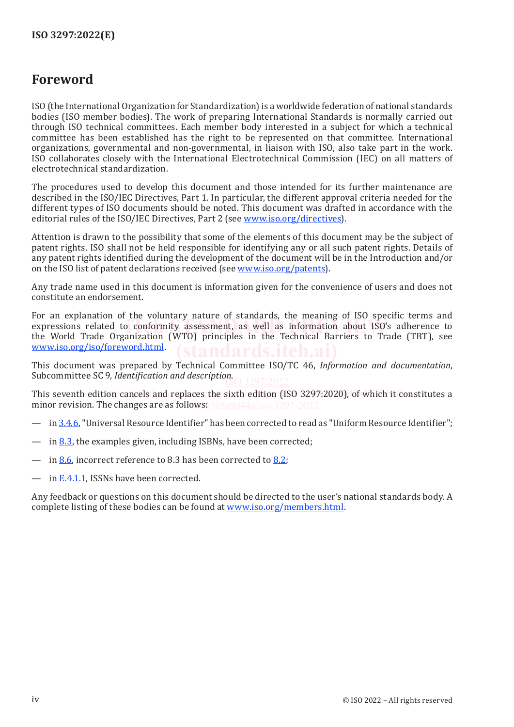# **Foreword**

ISO (the International Organization for Standardization) is a worldwide federation of national standards bodies (ISO member bodies). The work of preparing International Standards is normally carried out through ISO technical committees. Each member body interested in a subject for which a technical committee has been established has the right to be represented on that committee. International organizations, governmental and non-governmental, in liaison with ISO, also take part in the work. ISO collaborates closely with the International Electrotechnical Commission (IEC) on all matters of electrotechnical standardization.

The procedures used to develop this document and those intended for its further maintenance are described in the ISO/IEC Directives, Part 1. In particular, the different approval criteria needed for the different types of ISO documents should be noted. This document was drafted in accordance with the editorial rules of the ISO/IEC Directives, Part 2 (see [www.iso.org/directives\)](https://www.iso.org/directives-and-policies.html).

Attention is drawn to the possibility that some of the elements of this document may be the subject of patent rights. ISO shall not be held responsible for identifying any or all such patent rights. Details of any patent rights identified during the development of the document will be in the Introduction and/or on the ISO list of patent declarations received (see [www.iso.org/patents](https://www.iso.org/iso-standards-and-patents.html)).

Any trade name used in this document is information given for the convenience of users and does not constitute an endorsement.

For an explanation of the voluntary nature of standards, the meaning of ISO specific terms and expressions related to conformity assessment, as well as information about ISO's adherence to the World Trade Organization (WTO) principles in the Technical Barriers to Trade (TBT), see [www.iso.org/iso/foreword.html.](https://www.iso.org/foreword-supplementary-information.html) interaction and the method of the method in the method of the method of the method of the method and the method that the World Trade. Organisation is seen and spelling in the Technical Barriers to Trade (TBT), see the mode **(standards.iteh.ai)**

This document was prepared by Technical Committee ISO/TC 46, *Information and documentation*, Subcommittee SC 9, *Identification and description*. ISO 3297:2022

This seventh edition cancels and replaces the sixth edition (ISO 3297:2020), of which it constitutes a minor revision. The changes are as follows:  $305a9d44a/iso-3297-2022$ 

- in 3.4.6, "Universal Resource Identifier" has been corrected to read as "Uniform Resource Identifier";
- in  $8.3$ , the examples given, including ISBNs, have been corrected;
- in 8.6, incorrect reference to 8.3 has been corrected to  $8.2$ ;
- in E.4.1.1. ISSNs have been corrected.

Any feedback or questions on this document should be directed to the user's national standards body. A complete listing of these bodies can be found at [www.iso.org/members.html.](https://www.iso.org/members.html)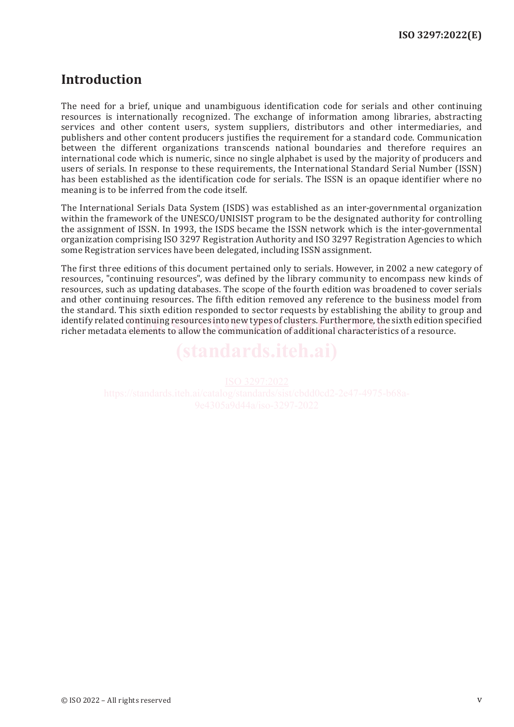# **Introduction**

The need for a brief, unique and unambiguous identification code for serials and other continuing resources is internationally recognized. The exchange of information among libraries, abstracting services and other content users, system suppliers, distributors and other intermediaries, and publishers and other content producers justifies the requirement for a standard code. Communication between the different organizations transcends national boundaries and therefore requires an international code which is numeric, since no single alphabet is used by the majority of producers and users of serials. In response to these requirements, the International Standard Serial Number (ISSN) has been established as the identification code for serials. The ISSN is an opaque identifier where no meaning is to be inferred from the code itself.

The International Serials Data System (ISDS) was established as an inter-governmental organization within the framework of the UNESCO/UNISIST program to be the designated authority for controlling the assignment of ISSN. In 1993, the ISDS became the ISSN network which is the inter-governmental organization comprising ISO 3297 Registration Authority and ISO 3297 Registration Agencies to which some Registration services have been delegated, including ISSN assignment.

The first three editions of this document pertained only to serials. However, in 2002 a new category of resources, "continuing resources", was defined by the library community to encompass new kinds of resources, such as updating databases. The scope of the fourth edition was broadened to cover serials and other continuing resources. The fifth edition removed any reference to the business model from the standard. This sixth edition responded to sector requests by establishing the ability to group and identify related continuing resources into new types of clusters. Furthermore, the sixth edition specified identify related continuing resources into new types of clusters. Furthermore, the sixth edition sp<br>richer metadata elements to allow the communication of additional characteristics of a resource.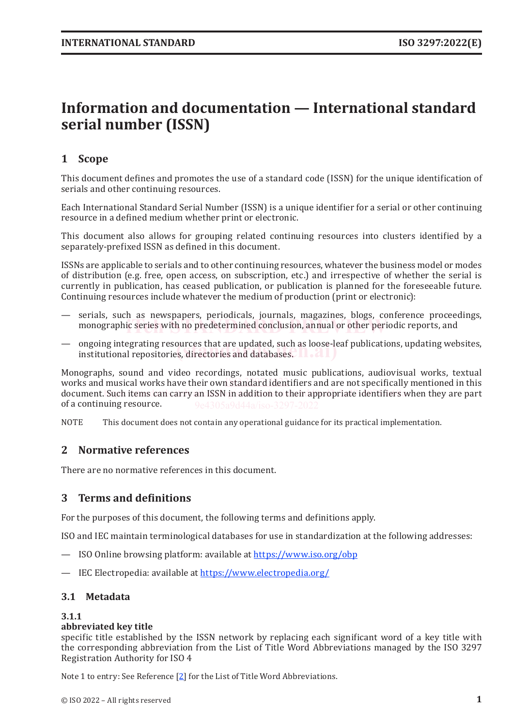# **Information and documentation — International standard serial number (ISSN)**

## **1 Scope**

This document defines and promotes the use of a standard code (ISSN) for the unique identification of serials and other continuing resources.

Each International Standard Serial Number (ISSN) is a unique identifier for a serial or other continuing resource in a defined medium whether print or electronic.

This document also allows for grouping related continuing resources into clusters identified by a separately-prefixed ISSN as defined in this document.

ISSNs are applicable to serials and to other continuing resources, whatever the business model or modes of distribution (e.g. free, open access, on subscription, etc.) and irrespective of whether the serial is currently in publication, has ceased publication, or publication is planned for the foreseeable future. Continuing resources include whatever the medium of production (print or electronic):

- serials, such as newspapers, periodicals, journals, magazines, blogs, conference proceedings, monographic series with no predetermined conclusion, annual or other periodic reports, and monographic series with no predetermined conclusion, annual or other periodic reports, and
- ongoing integrating resources that are updated, such as loose-leaf publications, updating websites, ongoing integrating resources that are updated, such as loose-le<br>institutional repositories, directories and databases.

Monographs, sound and video recordings, notated music publications, audiovisual works, textual works and musical works have their own standard identifiers and are not specifically mentioned in this document. Such items can carry an ISSN in addition to their appropriate identifiers when they are part of a continuing resource.

NOTE This document does not contain any operational guidance for its practical implementation.

### **2 Normative references**

There are no normative references in this document.

### **3 Terms and definitions**

For the purposes of this document, the following terms and definitions apply.

ISO and IEC maintain terminological databases for use in standardization at the following addresses:

- ISO Online browsing platform: available at <https://www.iso.org/obp>
- IEC Electropedia: available at [https://www](https://www.electropedia.org/).electropedia.org/

### **3.1 Metadata**

### **3.1.1**

### **abbreviated key title**

specific title established by the ISSN network by replacing each significant word of a key title with the corresponding abbreviation from the List of Title Word Abbreviations managed by the ISO 3297 Registration Authority for ISO 4

Note 1 to entry: See Reference [2] for the List of Title Word Abbreviations.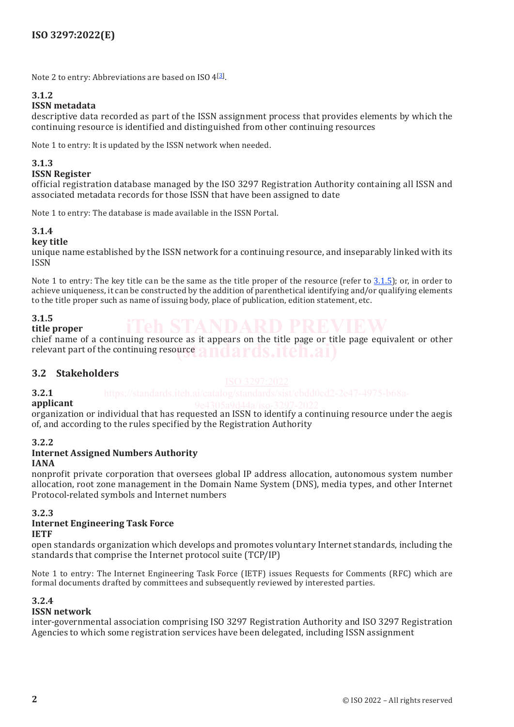Note 2 to entry: Abbreviations are based on ISO  $4^{[3]}$ .

### **3.1.2**

### **ISSN metadata**

descriptive data recorded as part of the ISSN assignment process that provides elements by which the continuing resource is identified and distinguished from other continuing resources

Note 1 to entry: It is updated by the ISSN network when needed.

### **3.1.3**

### **ISSN Register**

official registration database managed by the ISO 3297 Registration Authority containing all ISSN and associated metadata records for those ISSN that have been assigned to date

Note 1 to entry: The database is made available in the ISSN Portal.

### **3.1.4**

### **key title**

unique name established by the ISSN network for a continuing resource, and inseparably linked with its ISSN

Note 1 to entry: The key title can be the same as the title proper of the resource (refer to 3.1.5); or, in order to achieve uniqueness, it can be constructed by the addition of parenthetical identifying and/or qualifying elements to the title proper such as name of issuing body, place of publication, edition statement, etc.

### **3.1.5**

### **title proper**

chief name of a continuing resource as it appears on the title page or title page equivalent or other relevant part of the continuing resource **iTeh STANDARD PREVIEW (standards.iteh.ai)**

### **3.2 Stakeholders**

**3.2.1**

### **applicant**

organization or individual that has requested an ISSN to identify a continuing resource under the aegis of, and according to the rules specified by the Registration Authority

### **3.2.2**

### **Internet Assigned Numbers Authority**

### **IANA**

nonprofit private corporation that oversees global IP address allocation, autonomous system number allocation, root zone management in the Domain Name System (DNS), media types, and other Internet Protocol-related symbols and Internet numbers

### **3.2.3**

### **Internet Engineering Task Force**

### **IETF**

open standards organization which develops and promotes voluntary Internet standards, including the standards that comprise the Internet protocol suite (TCP/IP)

Note 1 to entry: The Internet Engineering Task Force (IETF) issues Requests for Comments (RFC) which are formal documents drafted by committees and subsequently reviewed by interested parties.

### **3.2.4**

### **ISSN network**

inter-governmental association comprising ISO 3297 Registration Authority and ISO 3297 Registration Agencies to which some registration services have been delegated, including ISSN assignment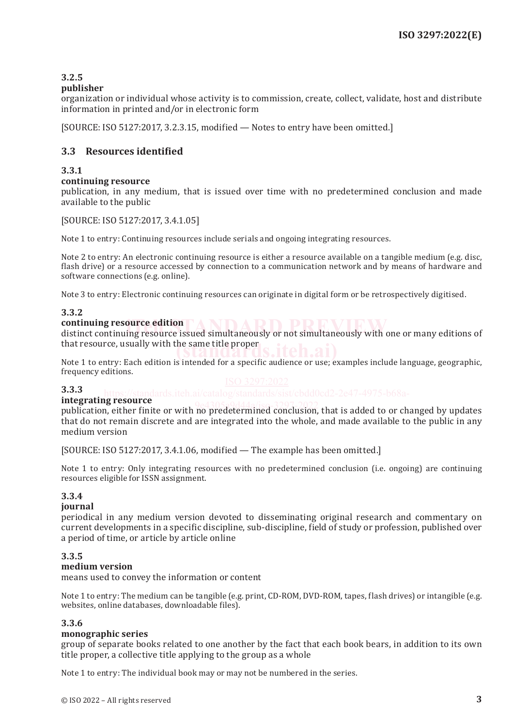### **3.2.5**

### **publisher**

organization or individual whose activity is to commission, create, collect, validate, host and distribute information in printed and/or in electronic form

[SOURCE: ISO 5127:2017, 3.2.3.15, modified — Notes to entry have been omitted.]

### **3.3 Resources identified**

### **3.3.1**

### **continuing resource**

publication, in any medium, that is issued over time with no predetermined conclusion and made available to the public

### [SOURCE: ISO 5127:2017, 3.4.1.05]

Note 1 to entry: Continuing resources include serials and ongoing integrating resources.

Note 2 to entry: An electronic continuing resource is either a resource available on a tangible medium (e.g. disc, flash drive) or a resource accessed by connection to a communication network and by means of hardware and software connections (e.g. online).

Note 3 to entry: Electronic continuing resources can originate in digital form or be retrospectively digitised.

### **3.3.2**

### **continuing resource edition**

**continuing resource edition**<br>distinct continuing resource issued simultaneously or not simultaneously with one or many editions of that resource, usually with the same title proper<br>Nets 4 to other Fesh edition is when del for a manifest and inner and all

Note 1 to entry: Each edition is intended for a specific audience or use; examples include language, geographic, frequency editions.

### **3.3.3**

**integrating resource**

publication, either finite or with no predetermined conclusion, that is added to or changed by updates that do not remain discrete and are integrated into the whole, and made available to the public in any medium version 9e4305a9d44a/iso-3297-2022

[SOURCE: ISO 5127:2017, 3.4.1.06, modified — The example has been omitted.]

Note 1 to entry: Only integrating resources with no predetermined conclusion (i.e. ongoing) are continuing resources eligible for ISSN assignment.

### **3.3.4**

### **journal**

periodical in any medium version devoted to disseminating original research and commentary on current developments in a specific discipline, sub-discipline, field of study or profession, published over a period of time, or article by article online

### **3.3.5**

### **medium version**

means used to convey the information or content

Note 1 to entry: The medium can be tangible (e.g. print, CD-ROM, DVD-ROM, tapes, flash drives) or intangible (e.g. websites, online databases, downloadable files).

### **3.3.6**

### **monographic series**

group of separate books related to one another by the fact that each book bears, in addition to its own title proper, a collective title applying to the group as a whole

Note 1 to entry: The individual book may or may not be numbered in the series.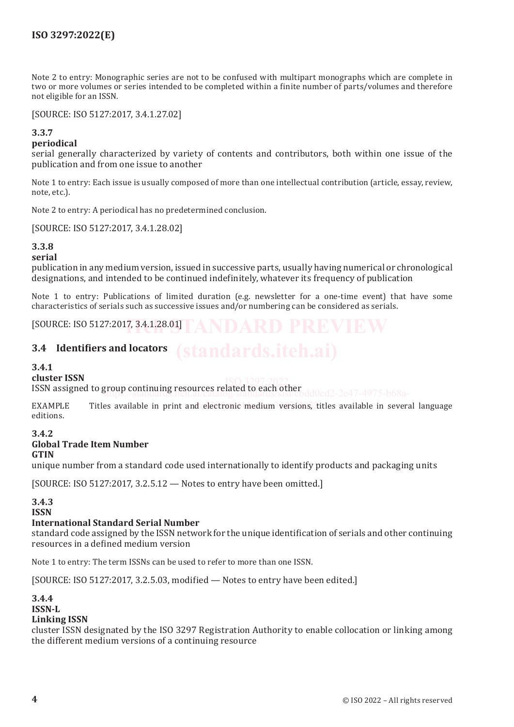Note 2 to entry: Monographic series are not to be confused with multipart monographs which are complete in two or more volumes or series intended to be completed within a finite number of parts/volumes and therefore not eligible for an ISSN.

[SOURCE: ISO 5127:2017, 3.4.1.27.02]

### **3.3.7**

### **periodical**

serial generally characterized by variety of contents and contributors, both within one issue of the publication and from one issue to another

Note 1 to entry: Each issue is usually composed of more than one intellectual contribution (article, essay, review, note, etc.).

Note 2 to entry: A periodical has no predetermined conclusion.

[SOURCE: ISO 5127:2017, 3.4.1.28.02]

### **3.3.8**

### **serial**

publication in any medium version, issued in successive parts, usually having numerical or chronological designations, and intended to be continued indefinitely, whatever its frequency of publication

Note 1 to entry: Publications of limited duration (e.g. newsletter for a one-time event) that have some characteristics of serials such as successive issues and/or numbering can be considered as serials.

[SOURCE: ISO 5127:2017, 3.4.1.28.01]

# **3.4 Identifiers and locators**

### **3.4.1**

**cluster ISSN**

ISO 3297:2022

ISSN assigned to group continuing resources related to each other https://standards.iteh.ai/catalog/standards/sist/cbdd0cd2-2e47-4975-b68a-

EXAMPLE Titles available in print and electronic medium versions, titles available in several language editions.

### **3.4.2 Global Trade Item Number**

### **GTIN**

unique number from a standard code used internationally to identify products and packaging units

[SOURCE: ISO 5127:2017, 3.2.5.12 — Notes to entry have been omitted.]

### **3.4.3**

### **ISSN**

### **International Standard Serial Number**

standard code assigned by the ISSN network for the unique identification of serials and other continuing resources in a defined medium version

Note 1 to entry: The term ISSNs can be used to refer to more than one ISSN.

[SOURCE: ISO 5127:2017, 3.2.5.03, modified — Notes to entry have been edited.]

# **3.4.4**

## **ISSN-L**

### **Linking ISSN**

cluster ISSN designated by the ISO 3297 Registration Authority to enable collocation or linking among the different medium versions of a continuing resource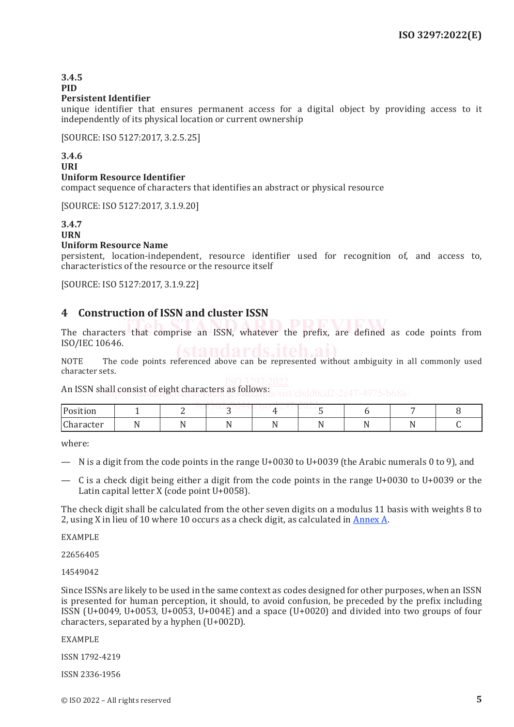### **3.4.5 PID Persistent Identifier**

unique identifier that ensures permanent access for a digital object by providing access to it independently of its physical location or current ownership

[SOURCE: ISO 5127:2017, 3.2.5.25]

### **3.4.6 URI Uniform Resource Identifier**

compact sequence of characters that identifies an abstract or physical resource

[SOURCE: ISO 5127:2017, 3.1.9.20]

### **3.4.7 URN**

### **Uniform Resource Name**

persistent, location-independent, resource identifier used for recognition of, and access to, characteristics of the resource or the resource itself

[SOURCE: ISO 5127:2017, 3.1.9.22]

### **4 Construction of ISSN and cluster ISSN**

The characters that comprise an ISSN, whatever the prefix, are defined as code points from ISO/IEC 10646.

NOTE The code points referenced above can be represented without ambiguity in all commonly used **(standards.iteh.ai)** character sets.

ISO 3297:2022

An ISSN shall consist of eight characters as follows:

| $r_{\rm{har}}$<br>$\sim$ $\sim$<br>acter<br>una. |  |  |  |  |
|--------------------------------------------------|--|--|--|--|

where:

— N is a digit from the code points in the range U+0030 to U+0039 (the Arabic numerals 0 to 9), and

— C is a check digit being either a digit from the code points in the range U+0030 to U+0039 or the Latin capital letter X (code point U+0058).

The check digit shall be calculated from the other seven digits on a modulus 11 basis with weights 8 to 2, using X in lieu of 10 where 10 occurs as a check digit, as calculated in Annex A.

EXAMPLE

22656405

14549042

Since ISSNs are likely to be used in the same context as codes designed for other purposes, when an ISSN is presented for human perception, it should, to avoid confusion, be preceded by the prefix including ISSN (U+0049, U+0053, U+0053, U+004E) and a space (U+0020) and divided into two groups of four characters, separated by a hyphen (U+002D).

EXAMPLE

ISSN 1792‑4219

ISSN 2336‑1956